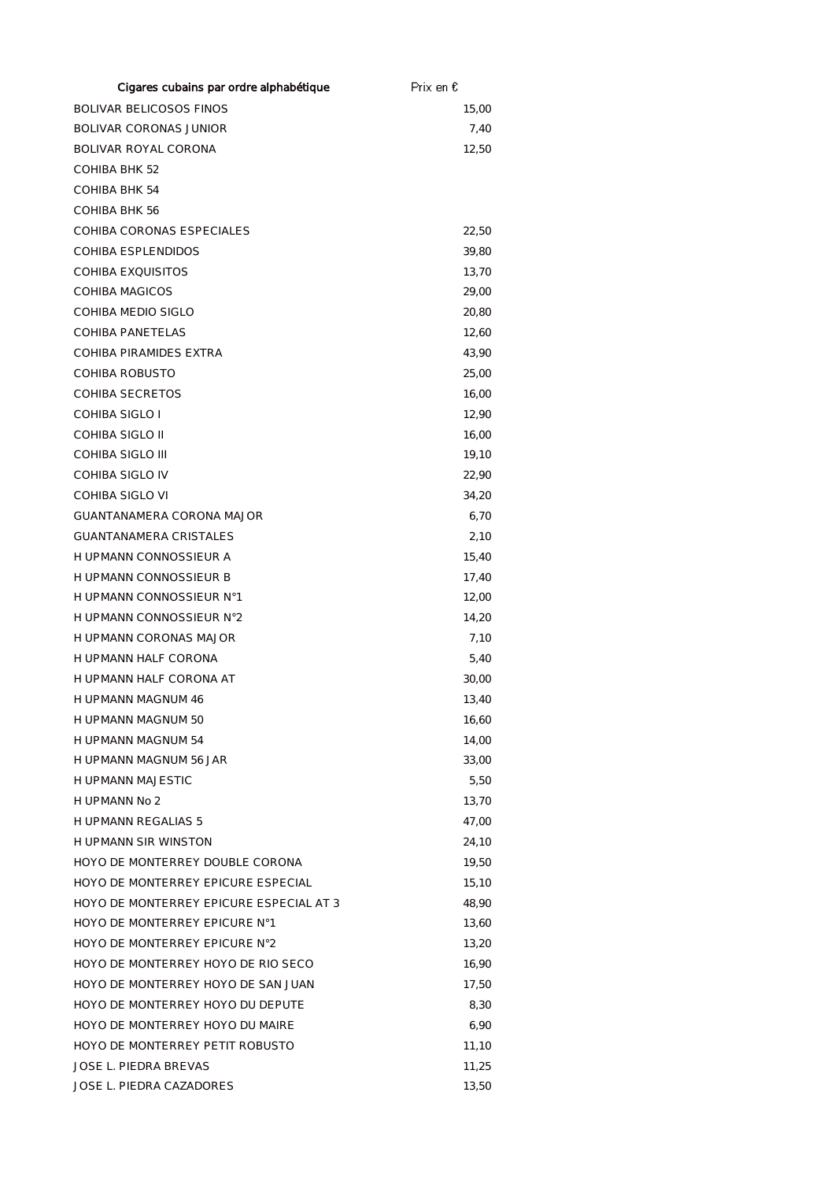| Cigares cubains par ordre alphabétique  | Prix en € |
|-----------------------------------------|-----------|
| <b>BOLIVAR BELICOSOS FINOS</b>          | 15,00     |
| <b>BOLIVAR CORONAS JUNIOR</b>           | 7,40      |
| BOLIVAR ROYAL CORONA                    | 12,50     |
| COHIBA BHK 52                           |           |
| <b>COHIBA BHK 54</b>                    |           |
| COHIBA BHK 56                           |           |
| COHIBA CORONAS ESPECIALES               | 22,50     |
| COHIBA ESPLENDIDOS                      | 39,80     |
| <b>COHIBA EXQUISITOS</b>                | 13,70     |
| COHIBA MAGICOS                          | 29,00     |
| COHIBA MEDIO SIGLO                      | 20,80     |
| COHIBA PANETELAS                        | 12,60     |
| COHIBA PIRAMIDES EXTRA                  | 43,90     |
| COHIBA ROBUSTO                          | 25,00     |
| <b>COHIBA SECRETOS</b>                  | 16,00     |
| COHIBA SIGLO I                          | 12,90     |
| COHIBA SIGLO II                         | 16,00     |
| COHIBA SIGLO III                        | 19,10     |
| COHIBA SIGLO IV                         | 22,90     |
| COHIBA SIGLO VI                         | 34,20     |
| GUANTANAMERA CORONA MAJOR               | 6,70      |
| <b>GUANTANAMERA CRISTALES</b>           | 2,10      |
| H UPMANN CONNOSSIEUR A                  | 15,40     |
| H UPMANN CONNOSSIEUR B                  | 17,40     |
| H UPMANN CONNOSSIEUR N°1                | 12,00     |
| H UPMANN CONNOSSIEUR N°2                | 14,20     |
| H UPMANN CORONAS MAJOR                  | 7,10      |
| H UPMANN HALF CORONA                    | 5,40      |
| H UPMANN HALF CORONA AT                 | 30,00     |
| H UPMANN MAGNUM 46                      | 13,40     |
| H UPMANN MAGNUM 50                      | 16,60     |
| <b>H UPMANN MAGNUM 54</b>               | 14,00     |
| <b>HUPMANN MAGNUM 56 JAR</b>            | 33,00     |
| <b>HUPMANN MAJESTIC</b>                 | 5,50      |
| H UPMANN No 2                           | 13,70     |
| <b>H UPMANN REGALIAS 5</b>              | 47,00     |
| <b>HUPMANN SIR WINSTON</b>              | 24,10     |
| HOYO DE MONTERREY DOUBLE CORONA         | 19,50     |
| HOYO DE MONTERREY EPICURE ESPECIAL      | 15,10     |
| HOYO DE MONTERREY EPICURE ESPECIAL AT 3 | 48,90     |
| HOYO DE MONTERREY EPICURE N°1           | 13,60     |
| HOYO DE MONTERREY EPICURE N°2           | 13,20     |
| HOYO DE MONTERREY HOYO DE RIO SECO      | 16,90     |
| HOYO DE MONTERREY HOYO DE SAN JUAN      | 17,50     |
| HOYO DE MONTERREY HOYO DU DEPUTE        | 8,30      |
| HOYO DE MONTERREY HOYO DU MAIRE         | 6,90      |
| HOYO DE MONTERREY PETIT ROBUSTO         | 11,10     |
| <b>JOSE L. PIEDRA BREVAS</b>            | 11,25     |
| JOSE L. PIEDRA CAZADORES                | 13,50     |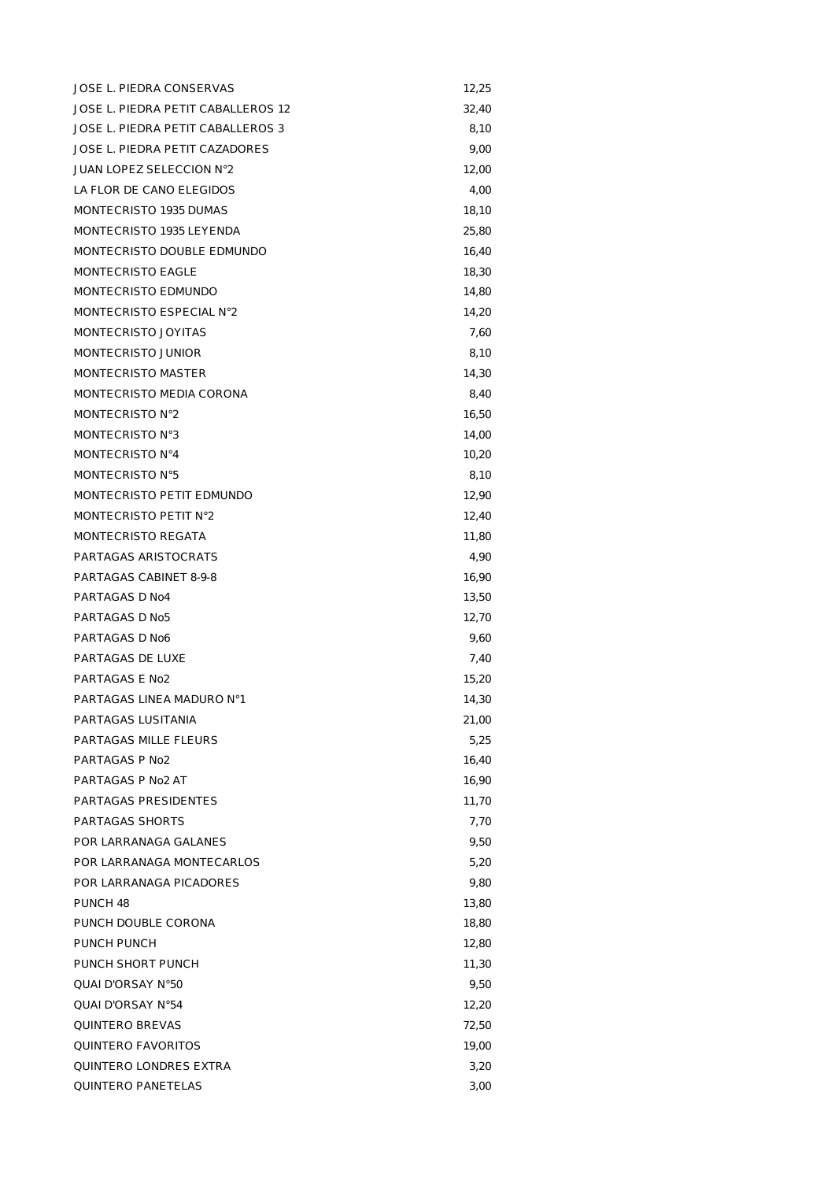| JOSE L. PIEDRA CONSERVAS           | 12,25 |
|------------------------------------|-------|
| JOSE L. PIEDRA PETIT CABALLEROS 12 | 32,40 |
| JOSE L. PIEDRA PETIT CABALLEROS 3  | 8.10  |
| JOSE L. PIEDRA PETIT CAZADORES     | 9,00  |
| <b>JUAN LOPEZ SELECCION N°2</b>    | 12,00 |
| LA FLOR DE CANO ELEGIDOS           | 4,00  |
| <b>MONTECRISTO 1935 DUMAS</b>      | 18,10 |
| MONTECRISTO 1935 LEYENDA           | 25,80 |
| MONTECRISTO DOUBLE EDMUNDO         | 16,40 |
| MONTECRISTO EAGLE                  | 18,30 |
| MONTECRISTO EDMUNDO                | 14,80 |
| MONTECRISTO ESPECIAL N°2           | 14,20 |
| MONTECRISTO JOYITAS                | 7,60  |
| MONTECRISTO JUNIOR                 | 8,10  |
| MONTECRISTO MASTER                 | 14,30 |
| MONTECRISTO MEDIA CORONA           | 8,40  |
| MONTECRISTO N°2                    | 16,50 |
| MONTECRISTO N°3                    | 14,00 |
| MONTECRISTO N°4                    | 10,20 |
| <b>MONTECRISTO N°5</b>             | 8,10  |
| MONTECRISTO PETIT EDMUNDO          | 12,90 |
| MONTECRISTO PETIT N°2              | 12,40 |
| <b>MONTECRISTO REGATA</b>          | 11,80 |
| PARTAGAS ARISTOCRATS               | 4,90  |
| PARTAGAS CABINET 8-9-8             | 16,90 |
| PARTAGAS D No4                     | 13,50 |
| PARTAGAS D No5                     | 12,70 |
| PARTAGAS D No6                     | 9,60  |
| PARTAGAS DE LUXE                   | 7,40  |
| PARTAGAS E No2                     | 15,20 |
| PARTAGAS LINFA MADURO N°1          | 14,30 |
| PARTAGAS LUSITANIA                 | 21,00 |
| PARTAGAS MILLE FLEURS              | 5,25  |
| PARTAGAS P No2                     | 16.40 |
| PARTAGAS P No2 AT                  | 16,90 |
| PARTAGAS PRESIDENTES               | 11,70 |
| PARTAGAS SHORTS                    | 7,70  |
| POR LARRANAGA GALANES              | 9,50  |
| POR LARRANAGA MONTECARLOS          | 5,20  |
| POR LARRANAGA PICADORES            | 9,80  |
| PUNCH <sub>48</sub>                | 13,80 |
| PUNCH DOUBLE CORONA                | 18,80 |
| PUNCH PUNCH                        | 12,80 |
| PUNCH SHORT PUNCH                  | 11,30 |
| <b>QUAI D'ORSAY N°50</b>           | 9,50  |
| QUAI D'ORSAY N°54                  | 12,20 |
| QUINTERO BREVAS                    | 72,50 |
| QUINTERO FAVORITOS                 | 19,00 |
| QUINTERO LONDRES EXTRA             | 3,20  |
| QUINTERO PANETELAS                 | 3,00  |
|                                    |       |